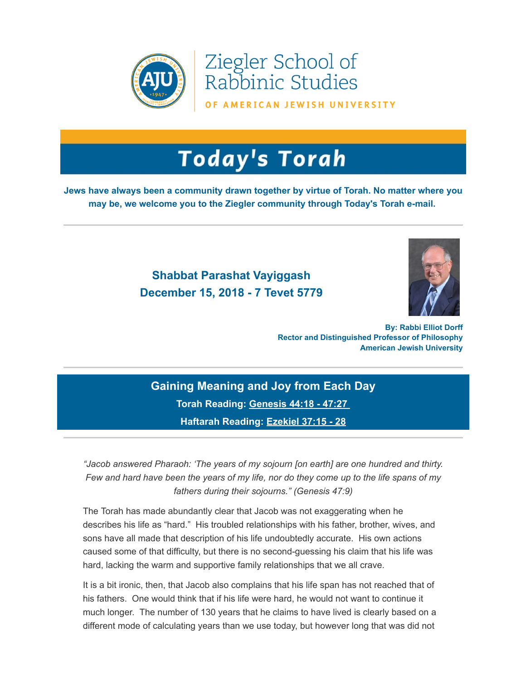

Ziegler School of Rabbinic Studies

OF AMERICAN JEWISH UNIVERSITY

## **Today's Torah**

**Jews have always been a community drawn together by virtue of Torah. No matter where you may be, we welcome you to the Ziegler community through Today's Torah e-mail.**

## **Shabbat Parashat Vayiggash December 15, 2018 - 7 Tevet 5779**



**By: Rabbi Elliot Dorff Rector and Distinguished Professor of Philosophy American Jewish University**

**Gaining Meaning and Joy from Each Day Torah Reading: [Genesis 44:18 - 47:27](https://t.e2ma.net/click/4slr0/sziwr0/0xajxi)  Haftarah Reading: [Ezekiel 37:15 - 28](https://t.e2ma.net/click/4slr0/sziwr0/gqbjxi)**

*"Jacob answered Pharaoh: 'The years of my sojourn [on earth] are one hundred and thirty. Few and hard have been the years of my life, nor do they come up to the life spans of my fathers during their sojourns." (Genesis 47:9)*

The Torah has made abundantly clear that Jacob was not exaggerating when he describes his life as "hard." His troubled relationships with his father, brother, wives, and sons have all made that description of his life undoubtedly accurate. His own actions caused some of that difficulty, but there is no second-guessing his claim that his life was hard, lacking the warm and supportive family relationships that we all crave.

It is a bit ironic, then, that Jacob also complains that his life span has not reached that of his fathers. One would think that if his life were hard, he would not want to continue it much longer. The number of 130 years that he claims to have lived is clearly based on a different mode of calculating years than we use today, but however long that was did not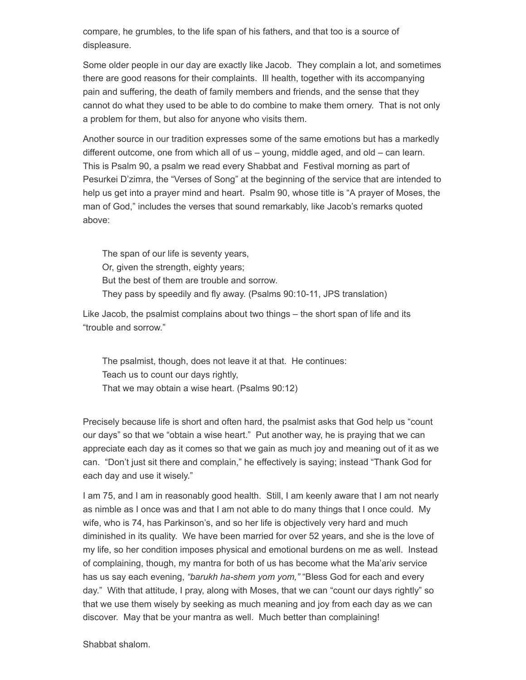compare, he grumbles, to the life span of his fathers, and that too is a source of displeasure.

Some older people in our day are exactly like Jacob. They complain a lot, and sometimes there are good reasons for their complaints. Ill health, together with its accompanying pain and suffering, the death of family members and friends, and the sense that they cannot do what they used to be able to do combine to make them ornery. That is not only a problem for them, but also for anyone who visits them.

Another source in our tradition expresses some of the same emotions but has a markedly different outcome, one from which all of us – young, middle aged, and old – can learn. This is Psalm 90, a psalm we read every Shabbat and Festival morning as part of Pesurkei D'zimra, the "Verses of Song" at the beginning of the service that are intended to help us get into a prayer mind and heart. Psalm 90, whose title is "A prayer of Moses, the man of God," includes the verses that sound remarkably, like Jacob's remarks quoted above:

The span of our life is seventy years, Or, given the strength, eighty years; But the best of them are trouble and sorrow. They pass by speedily and fly away. (Psalms 90:10-11, JPS translation)

Like Jacob, the psalmist complains about two things – the short span of life and its "trouble and sorrow."

The psalmist, though, does not leave it at that. He continues: Teach us to count our days rightly, That we may obtain a wise heart. (Psalms 90:12)

Precisely because life is short and often hard, the psalmist asks that God help us "count our days" so that we "obtain a wise heart." Put another way, he is praying that we can appreciate each day as it comes so that we gain as much joy and meaning out of it as we can. "Don't just sit there and complain," he effectively is saying; instead "Thank God for each day and use it wisely."

I am 75, and I am in reasonably good health. Still, I am keenly aware that I am not nearly as nimble as I once was and that I am not able to do many things that I once could. My wife, who is 74, has Parkinson's, and so her life is objectively very hard and much diminished in its quality. We have been married for over 52 years, and she is the love of my life, so her condition imposes physical and emotional burdens on me as well. Instead of complaining, though, my mantra for both of us has become what the Ma'ariv service has us say each evening, *"barukh ha-shem yom yom,"* "Bless God for each and every day." With that attitude, I pray, along with Moses, that we can "count our days rightly" so that we use them wisely by seeking as much meaning and joy from each day as we can discover. May that be your mantra as well. Much better than complaining!

Shabbat shalom.